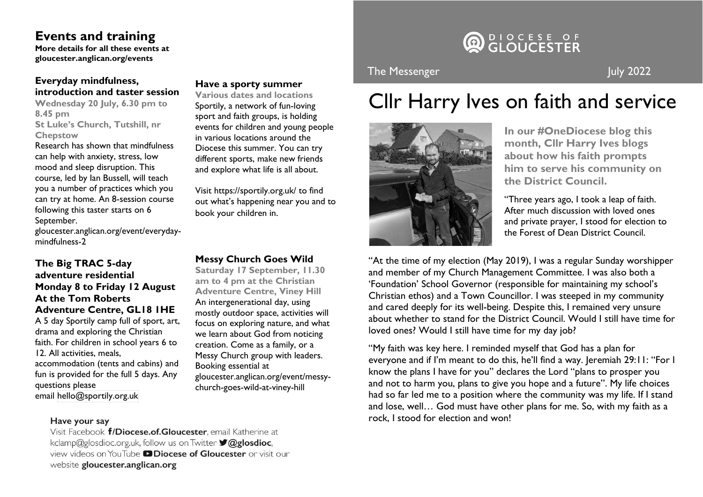## **Events and training**

**More details for all these events at gloucester.anglican.org/events** 

## **Everyday mindfulness, introduction and taster session**

**Wednesday 20 July, 6.30 pm to 8.45 pm St Luke's Church, Tutshill, nr Chepstow**

Research has shown that mindfulness can help with anxiety, stress, low mood and sleep disruption. This course, led by Ian Bussell, will teach you a number of practices which you can try at home. An 8-session course following this taster starts on 6 September.

gloucester.anglican.org/event/everydaymindfulness-2

### **The Big TRAC 5-day adventure residential Monday 8 to Friday 12 August At the Tom Roberts Adventure Centre, GL18 1HE**

A 5 day Sportily camp full of sport, art, drama and exploring the Christian faith. For children in school years 6 to 12. All activities, meals, accommodation (tents and cabins) and fun is provided for the full 5 days. Any questions please email hello@sportily.org.uk

#### **Have a sporty summer**

**Various dates and locations** Sportily, a network of fun-loving sport and faith groups, is holding events for children and young people in various locations around the Diocese this summer. You can try different sports, make new friends and explore what life is all about.

Visit https://sportily.org.uk/ to find out what's happening near you and to book your children in.

#### **Messy Church Goes Wild**

**Saturday 17 September, 11.30 am to 4 pm at the Christian Adventure Centre, Viney Hill** An intergenerational day, using mostly outdoor space, activities will focus on exploring nature, and what we learn about God from noticing creation. Come as a family, or a Messy Church group with leaders. Booking essential at gloucester.anglican.org/event/messychurch-goes-wild-at-viney-hill

# DIOCESE OF<br>**GIOUCESTER**

## The Messenger July 2022

## Cllr Harry Ives on faith and service



**In our #OneDiocese blog this month, Cllr Harry Ives blogs about how his faith prompts him to serve his community on the District Council.**

"Three years ago, I took a leap of faith. After much discussion with loved ones and private prayer, I stood for election to the Forest of Dean District Council.

"At the time of my election (May 2019), I was a regular Sunday worshipper and member of my Church Management Committee. I was also both a 'Foundation' School Governor (responsible for maintaining my school's Christian ethos) and a Town Councillor. I was steeped in my community and cared deeply for its well-being. Despite this, I remained very unsure about whether to stand for the District Council. Would I still have time for loved ones? Would I still have time for my day job?

"My faith was key here. I reminded myself that God has a plan for everyone and if I'm meant to do this, he'll find a way. Jeremiah 29:11: "For I know the plans I have for you" declares the Lord "plans to prosper you and not to harm you, plans to give you hope and a future". My life choices had so far led me to a position where the community was my life. If I stand and lose, well… God must have other plans for me. So, with my faith as a rock, I stood for election and won!

#### Have your say

Visit Facebook f/Diocese.of.Gloucester, email Katherine at kclamp@glosdioc.org.uk, follow us on Twitter **V@glosdioc**. view videos on YouTube **DDiocese of Gloucester** or visit our website gloucester.anglican.org